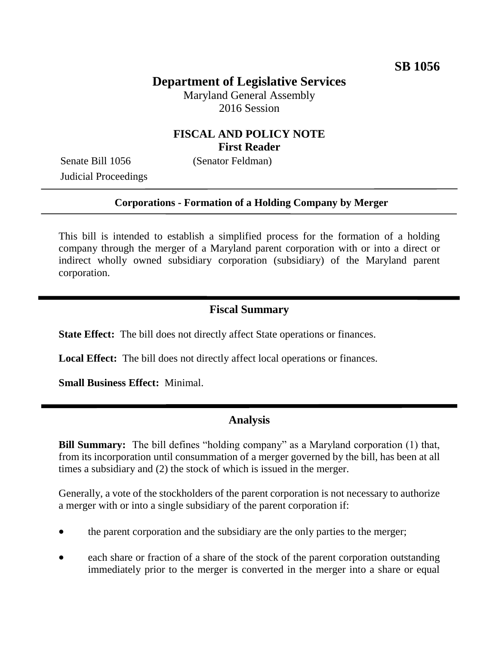# **Department of Legislative Services**

Maryland General Assembly 2016 Session

## **FISCAL AND POLICY NOTE First Reader**

Senate Bill 1056 (Senator Feldman) Judicial Proceedings

#### **Corporations - Formation of a Holding Company by Merger**

This bill is intended to establish a simplified process for the formation of a holding company through the merger of a Maryland parent corporation with or into a direct or indirect wholly owned subsidiary corporation (subsidiary) of the Maryland parent corporation.

### **Fiscal Summary**

**State Effect:** The bill does not directly affect State operations or finances.

**Local Effect:** The bill does not directly affect local operations or finances.

**Small Business Effect:** Minimal.

## **Analysis**

**Bill Summary:** The bill defines "holding company" as a Maryland corporation (1) that, from its incorporation until consummation of a merger governed by the bill, has been at all times a subsidiary and (2) the stock of which is issued in the merger.

Generally, a vote of the stockholders of the parent corporation is not necessary to authorize a merger with or into a single subsidiary of the parent corporation if:

- the parent corporation and the subsidiary are the only parties to the merger;
- each share or fraction of a share of the stock of the parent corporation outstanding immediately prior to the merger is converted in the merger into a share or equal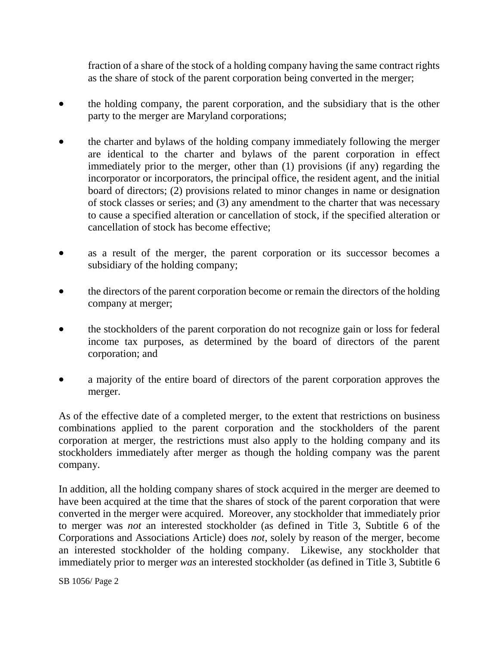fraction of a share of the stock of a holding company having the same contract rights as the share of stock of the parent corporation being converted in the merger;

- the holding company, the parent corporation, and the subsidiary that is the other party to the merger are Maryland corporations;
- the charter and bylaws of the holding company immediately following the merger are identical to the charter and bylaws of the parent corporation in effect immediately prior to the merger, other than (1) provisions (if any) regarding the incorporator or incorporators, the principal office, the resident agent, and the initial board of directors; (2) provisions related to minor changes in name or designation of stock classes or series; and (3) any amendment to the charter that was necessary to cause a specified alteration or cancellation of stock, if the specified alteration or cancellation of stock has become effective;
- as a result of the merger, the parent corporation or its successor becomes a subsidiary of the holding company;
- the directors of the parent corporation become or remain the directors of the holding company at merger;
- the stockholders of the parent corporation do not recognize gain or loss for federal income tax purposes, as determined by the board of directors of the parent corporation; and
- a majority of the entire board of directors of the parent corporation approves the merger.

As of the effective date of a completed merger, to the extent that restrictions on business combinations applied to the parent corporation and the stockholders of the parent corporation at merger, the restrictions must also apply to the holding company and its stockholders immediately after merger as though the holding company was the parent company.

In addition, all the holding company shares of stock acquired in the merger are deemed to have been acquired at the time that the shares of stock of the parent corporation that were converted in the merger were acquired. Moreover, any stockholder that immediately prior to merger was *not* an interested stockholder (as defined in Title 3, Subtitle 6 of the Corporations and Associations Article) does *not*, solely by reason of the merger, become an interested stockholder of the holding company. Likewise, any stockholder that immediately prior to merger *was* an interested stockholder (as defined in Title 3, Subtitle 6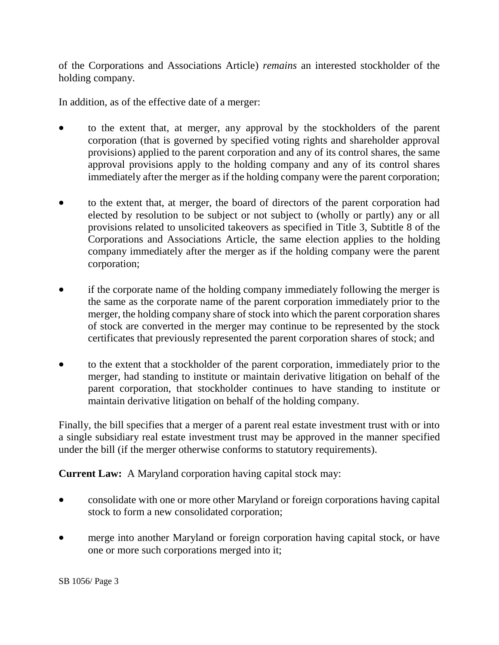of the Corporations and Associations Article) *remains* an interested stockholder of the holding company.

In addition, as of the effective date of a merger:

- to the extent that, at merger, any approval by the stockholders of the parent corporation (that is governed by specified voting rights and shareholder approval provisions) applied to the parent corporation and any of its control shares, the same approval provisions apply to the holding company and any of its control shares immediately after the merger as if the holding company were the parent corporation;
- to the extent that, at merger, the board of directors of the parent corporation had elected by resolution to be subject or not subject to (wholly or partly) any or all provisions related to unsolicited takeovers as specified in Title 3, Subtitle 8 of the Corporations and Associations Article, the same election applies to the holding company immediately after the merger as if the holding company were the parent corporation;
- if the corporate name of the holding company immediately following the merger is the same as the corporate name of the parent corporation immediately prior to the merger, the holding company share of stock into which the parent corporation shares of stock are converted in the merger may continue to be represented by the stock certificates that previously represented the parent corporation shares of stock; and
- to the extent that a stockholder of the parent corporation, immediately prior to the merger, had standing to institute or maintain derivative litigation on behalf of the parent corporation, that stockholder continues to have standing to institute or maintain derivative litigation on behalf of the holding company.

Finally, the bill specifies that a merger of a parent real estate investment trust with or into a single subsidiary real estate investment trust may be approved in the manner specified under the bill (if the merger otherwise conforms to statutory requirements).

**Current Law:** A Maryland corporation having capital stock may:

- consolidate with one or more other Maryland or foreign corporations having capital stock to form a new consolidated corporation;
- merge into another Maryland or foreign corporation having capital stock, or have one or more such corporations merged into it;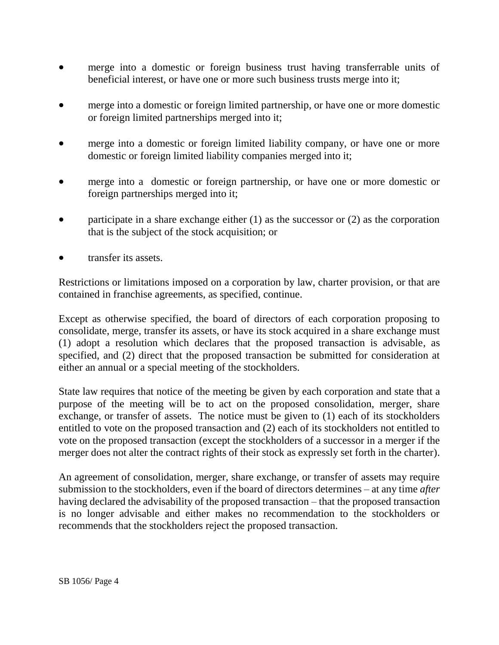- merge into a domestic or foreign business trust having transferrable units of beneficial interest, or have one or more such business trusts merge into it;
- merge into a domestic or foreign limited partnership, or have one or more domestic or foreign limited partnerships merged into it;
- merge into a domestic or foreign limited liability company, or have one or more domestic or foreign limited liability companies merged into it;
- merge into a domestic or foreign partnership, or have one or more domestic or foreign partnerships merged into it;
- participate in a share exchange either (1) as the successor or (2) as the corporation that is the subject of the stock acquisition; or
- transfer its assets.

Restrictions or limitations imposed on a corporation by law, charter provision, or that are contained in franchise agreements, as specified, continue.

Except as otherwise specified, the board of directors of each corporation proposing to consolidate, merge, transfer its assets, or have its stock acquired in a share exchange must (1) adopt a resolution which declares that the proposed transaction is advisable, as specified, and (2) direct that the proposed transaction be submitted for consideration at either an annual or a special meeting of the stockholders.

State law requires that notice of the meeting be given by each corporation and state that a purpose of the meeting will be to act on the proposed consolidation, merger, share exchange, or transfer of assets. The notice must be given to (1) each of its stockholders entitled to vote on the proposed transaction and (2) each of its stockholders not entitled to vote on the proposed transaction (except the stockholders of a successor in a merger if the merger does not alter the contract rights of their stock as expressly set forth in the charter).

An agreement of consolidation, merger, share exchange, or transfer of assets may require submission to the stockholders, even if the board of directors determines – at any time *after* having declared the advisability of the proposed transaction – that the proposed transaction is no longer advisable and either makes no recommendation to the stockholders or recommends that the stockholders reject the proposed transaction.